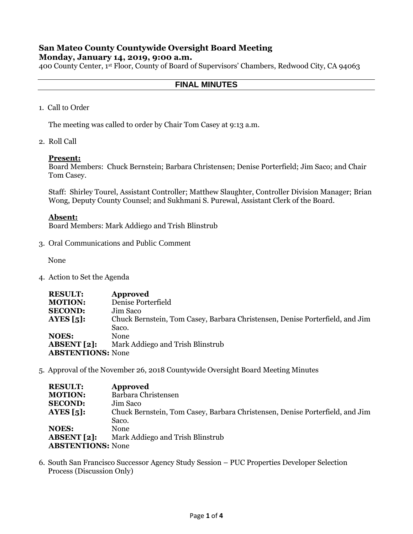# **San Mateo County Countywide Oversight Board Meeting**

## **Monday, January 14, 2019, 9:00 a.m.**

400 County Center, 1st Floor, County of Board of Supervisors' Chambers, Redwood City, CA 94063

## **FINAL MINUTES**

1. Call to Order

The meeting was called to order by Chair Tom Casey at 9:13 a.m.

2. Roll Call

#### **Present:**

Board Members: Chuck Bernstein; Barbara Christensen; Denise Porterfield; Jim Saco; and Chair Tom Casey.

Staff: Shirley Tourel, Assistant Controller; Matthew Slaughter, Controller Division Manager; Brian Wong, Deputy County Counsel; and Sukhmani S. Purewal, Assistant Clerk of the Board.

## **Absent:**

Board Members: Mark Addiego and Trish Blinstrub

3. Oral Communications and Public Comment

None

4. Action to Set the Agenda

| <b>RESULT:</b>           | Approved                                                                     |
|--------------------------|------------------------------------------------------------------------------|
| <b>MOTION:</b>           | Denise Porterfield                                                           |
| <b>SECOND:</b>           | Jim Saco                                                                     |
| AYES $\lceil 5 \rceil$ : | Chuck Bernstein, Tom Casey, Barbara Christensen, Denise Porterfield, and Jim |
|                          | Saco.                                                                        |
| <b>NOES:</b>             | None                                                                         |
| ABSENT[2]:               | Mark Addiego and Trish Blinstrub                                             |
| <b>ABSTENTIONS:</b> None |                                                                              |

5. Approval of the November 26, 2018 Countywide Oversight Board Meeting Minutes

| <b>RESULT:</b>           | <b>Approved</b>                                                              |
|--------------------------|------------------------------------------------------------------------------|
| <b>MOTION:</b>           | Barbara Christensen                                                          |
| <b>SECOND:</b>           | Jim Saco                                                                     |
| AYES $\lceil 5 \rceil$ : | Chuck Bernstein, Tom Casey, Barbara Christensen, Denise Porterfield, and Jim |
|                          | Saco.                                                                        |
| <b>NOES:</b>             | <b>None</b>                                                                  |
| <b>ABSENT</b> [2]:       | Mark Addiego and Trish Blinstrub                                             |
| <b>ABSTENTIONS: None</b> |                                                                              |

6. South San Francisco Successor Agency Study Session – PUC Properties Developer Selection Process (Discussion Only)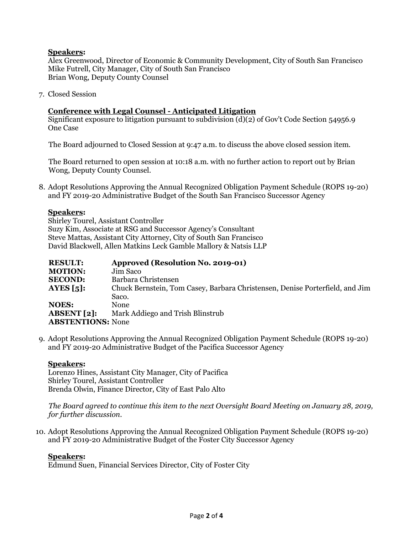## **Speakers:**

Alex Greenwood, Director of Economic & Community Development, City of South San Francisco Mike Futrell, City Manager, City of South San Francisco Brian Wong, Deputy County Counsel

7. Closed Session

## **Conference with Legal Counsel - Anticipated Litigation**

Significant exposure to litigation pursuant to subdivision (d)(2) of Gov't Code Section 54956.9 One Case

The Board adjourned to Closed Session at 9:47 a.m. to discuss the above closed session item.

The Board returned to open session at 10:18 a.m. with no further action to report out by Brian Wong, Deputy County Counsel.

8. Adopt Resolutions Approving the Annual Recognized Obligation Payment Schedule (ROPS 19-20) and FY 2019-20 Administrative Budget of the South San Francisco Successor Agency

## **Speakers:**

Shirley Tourel, Assistant Controller Suzy Kim, Associate at RSG and Successor Agency's Consultant Steve Mattas, Assistant City Attorney, City of South San Francisco David Blackwell, Allen Matkins Leck Gamble Mallory & Natsis LLP

| <b>RESULT:</b>           | <b>Approved (Resolution No. 2019-01)</b>                                     |
|--------------------------|------------------------------------------------------------------------------|
| <b>MOTION:</b>           | Jim Saco                                                                     |
| <b>SECOND:</b>           | Barbara Christensen                                                          |
| AYES $\lceil 5 \rceil$ : | Chuck Bernstein, Tom Casey, Barbara Christensen, Denise Porterfield, and Jim |
|                          | Saco.                                                                        |
| <b>NOES:</b>             | <b>None</b>                                                                  |
| ABSENT[2]:               | Mark Addiego and Trish Blinstrub                                             |
| <b>ABSTENTIONS: None</b> |                                                                              |

9. Adopt Resolutions Approving the Annual Recognized Obligation Payment Schedule (ROPS 19-20) and FY 2019-20 Administrative Budget of the Pacifica Successor Agency

#### **Speakers:**

Lorenzo Hines, Assistant City Manager, City of Pacifica Shirley Tourel, Assistant Controller Brenda Olwin, Finance Director, City of East Palo Alto

*The Board agreed to continue this item to the next Oversight Board Meeting on January 28, 2019, for further discussion.*

10. Adopt Resolutions Approving the Annual Recognized Obligation Payment Schedule (ROPS 19-20) and FY 2019-20 Administrative Budget of the Foster City Successor Agency

## **Speakers:**

Edmund Suen, Financial Services Director, City of Foster City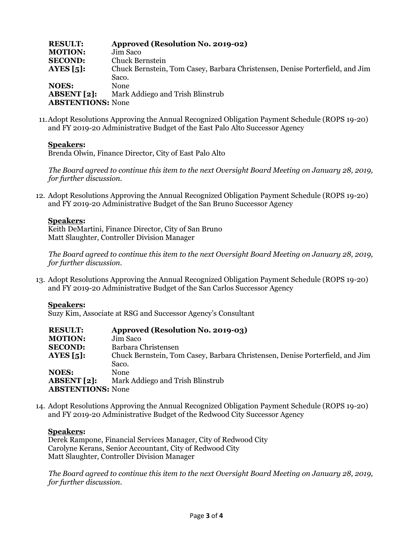| <b>RESULT:</b>           | Approved (Resolution No. 2019-02)                                            |
|--------------------------|------------------------------------------------------------------------------|
| <b>MOTION:</b>           | Jim Saco                                                                     |
| <b>SECOND:</b>           | Chuck Bernstein                                                              |
| AYES $\lceil 5 \rceil$ : | Chuck Bernstein, Tom Casey, Barbara Christensen, Denise Porterfield, and Jim |
|                          | Saco.                                                                        |
| <b>NOES:</b>             | None                                                                         |
| ABSENT[2]:               | Mark Addiego and Trish Blinstrub                                             |
| <b>ABSTENTIONS:</b> None |                                                                              |

11.Adopt Resolutions Approving the Annual Recognized Obligation Payment Schedule (ROPS 19-20) and FY 2019-20 Administrative Budget of the East Palo Alto Successor Agency

## **Speakers:**

Brenda Olwin, Finance Director, City of East Palo Alto

*The Board agreed to continue this item to the next Oversight Board Meeting on January 28, 2019, for further discussion.*

12. Adopt Resolutions Approving the Annual Recognized Obligation Payment Schedule (ROPS 19-20) and FY 2019-20 Administrative Budget of the San Bruno Successor Agency

#### **Speakers:**

Keith DeMartini, Finance Director, City of San Bruno Matt Slaughter, Controller Division Manager

*The Board agreed to continue this item to the next Oversight Board Meeting on January 28, 2019, for further discussion.*

13. Adopt Resolutions Approving the Annual Recognized Obligation Payment Schedule (ROPS 19-20) and FY 2019-20 Administrative Budget of the San Carlos Successor Agency

#### **Speakers:**

Suzy Kim, Associate at RSG and Successor Agency's Consultant

| <b>RESULT:</b>           | Approved (Resolution No. 2019-03)                                            |
|--------------------------|------------------------------------------------------------------------------|
| <b>MOTION:</b>           | Jim Saco                                                                     |
| <b>SECOND:</b>           | Barbara Christensen                                                          |
| AYES $\lceil 5 \rceil$ : | Chuck Bernstein, Tom Casey, Barbara Christensen, Denise Porterfield, and Jim |
|                          | Saco.                                                                        |
| <b>NOES:</b>             | <b>None</b>                                                                  |
| <b>ABSENT</b> [2]:       | Mark Addiego and Trish Blinstrub                                             |
| <b>ABSTENTIONS: None</b> |                                                                              |

14. Adopt Resolutions Approving the Annual Recognized Obligation Payment Schedule (ROPS 19-20) and FY 2019-20 Administrative Budget of the Redwood City Successor Agency

## **Speakers:**

Derek Rampone, Financial Services Manager, City of Redwood City Carolyne Kerans, Senior Accountant, City of Redwood City Matt Slaughter, Controller Division Manager

*The Board agreed to continue this item to the next Oversight Board Meeting on January 28, 2019, for further discussion.*